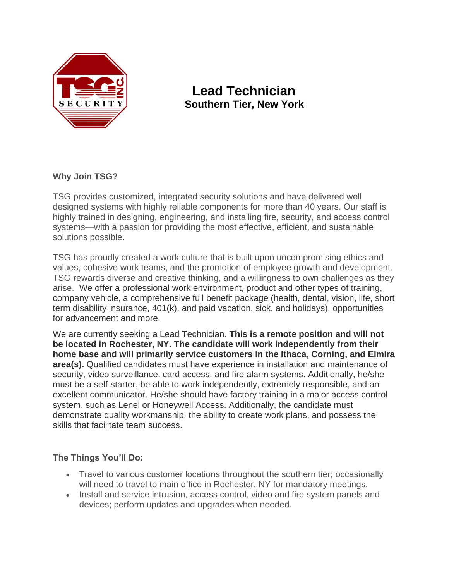

# **Lead Technician Southern Tier, New York**

## **Why Join TSG?**

TSG provides customized, integrated security solutions and have delivered well designed systems with highly reliable components for more than 40 years. Our staff is highly trained in designing, engineering, and installing fire, security, and access control systems—with a passion for providing the most effective, efficient, and sustainable solutions possible.

TSG has proudly created a work culture that is built upon uncompromising ethics and values, cohesive work teams, and the promotion of employee growth and development. TSG rewards diverse and creative thinking, and a willingness to own challenges as they arise. We offer a professional work environment, product and other types of training, company vehicle, a comprehensive full benefit package (health, dental, vision, life, short term disability insurance, 401(k), and paid vacation, sick, and holidays), opportunities for advancement and more.

We are currently seeking a Lead Technician. **This is a remote position and will not be located in Rochester, NY. The candidate will work independently from their home base and will primarily service customers in the Ithaca, Corning, and Elmira area(s).** Qualified candidates must have experience in installation and maintenance of security, video surveillance, card access, and fire alarm systems. Additionally, he/she must be a self-starter, be able to work independently, extremely responsible, and an excellent communicator. He/she should have factory training in a major access control system, such as Lenel or Honeywell Access. Additionally, the candidate must demonstrate quality workmanship, the ability to create work plans, and possess the skills that facilitate team success.

## **The Things You'll Do:**

- Travel to various customer locations throughout the southern tier; occasionally will need to travel to main office in Rochester, NY for mandatory meetings.
- Install and service intrusion, access control, video and fire system panels and devices; perform updates and upgrades when needed.